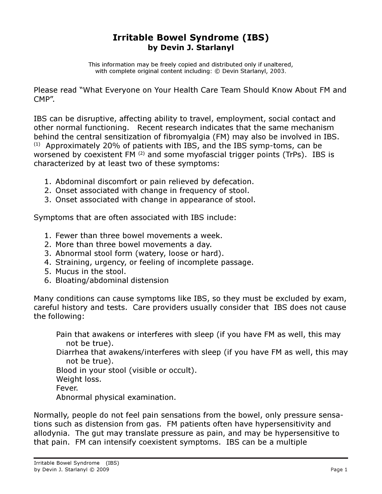## Irritable Bowel Syndrome (IBS) by Devin J. Starlanyl

This information may be freely copied and distributed only if unaltered, with complete original content including: © Devin Starlanyl, 2003.

Please read "What Everyone on Your Health Care Team Should Know About FM and CMP".

IBS can be disruptive, affecting ability to travel, employment, social contact and other normal functioning. Recent research indicates that the same mechanism behind the central sensitization of fibromyalgia (FM) may also be involved in IBS.  $(1)$  Approximately 20% of patients with IBS, and the IBS symp-toms, can be worsened by coexistent FM<sup>(2)</sup> and some myofascial trigger points (TrPs). IBS is characterized by at least two of these symptoms:

- 1. Abdominal discomfort or pain relieved by defecation.
- 2. Onset associated with change in frequency of stool.
- 3. Onset associated with change in appearance of stool.

Symptoms that are often associated with IBS include:

- 1. Fewer than three bowel movements a week.
- 2. More than three bowel movements a day.
- 3. Abnormal stool form (watery, loose or hard).
- 4. Straining, urgency, or feeling of incomplete passage.
- 5. Mucus in the stool.
- 6. Bloating/abdominal distension

Many conditions can cause symptoms like IBS, so they must be excluded by exam, careful history and tests. Care providers usually consider that IBS does not cause the following:

Pain that awakens or interferes with sleep (if you have FM as well, this may not be true).

Diarrhea that awakens/interferes with sleep (if you have FM as well, this may not be true).

Blood in your stool (visible or occult).

Weight loss.

Fever.

Abnormal physical examination.

Normally, people do not feel pain sensations from the bowel, only pressure sensations such as distension from gas. FM patients often have hypersensitivity and allodynia. The gut may translate pressure as pain, and may be hypersensitive to that pain. FM can intensify coexistent symptoms. IBS can be a multiple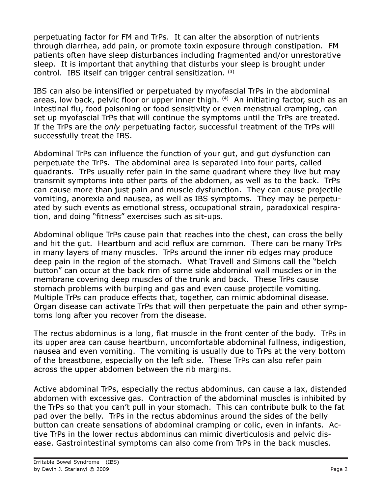perpetuating factor for FM and TrPs. It can alter the absorption of nutrients through diarrhea, add pain, or promote toxin exposure through constipation. FM patients often have sleep disturbances including fragmented and/or unrestorative sleep. It is important that anything that disturbs your sleep is brought under control. IBS itself can trigger central sensitization. (3)

IBS can also be intensified or perpetuated by myofascial TrPs in the abdominal areas, low back, pelvic floor or upper inner thigh. <sup>(4)</sup> An initiating factor, such as an intestinal flu, food poisoning or food sensitivity or even menstrual cramping, can set up myofascial TrPs that will continue the symptoms until the TrPs are treated. If the TrPs are the *only* perpetuating factor, successful treatment of the TrPs will successfully treat the IBS.

Abdominal TrPs can influence the function of your gut, and gut dysfunction can perpetuate the TrPs. The abdominal area is separated into four parts, called quadrants. TrPs usually refer pain in the same quadrant where they live but may transmit symptoms into other parts of the abdomen, as well as to the back. TrPs can cause more than just pain and muscle dysfunction. They can cause projectile vomiting, anorexia and nausea, as well as IBS symptoms. They may be perpetuated by such events as emotional stress, occupational strain, paradoxical respiration, and doing "fitness" exercises such as sit-ups.

Abdominal oblique TrPs cause pain that reaches into the chest, can cross the belly and hit the gut. Heartburn and acid reflux are common. There can be many TrPs in many layers of many muscles. TrPs around the inner rib edges may produce deep pain in the region of the stomach. What Travell and Simons call the "belch button" can occur at the back rim of some side abdominal wall muscles or in the membrane covering deep muscles of the trunk and back. These TrPs cause stomach problems with burping and gas and even cause projectile vomiting. Multiple TrPs can produce effects that, together, can mimic abdominal disease. Organ disease can activate TrPs that will then perpetuate the pain and other symptoms long after you recover from the disease.

The rectus abdominus is a long, flat muscle in the front center of the body. TrPs in its upper area can cause heartburn, uncomfortable abdominal fullness, indigestion, nausea and even vomiting. The vomiting is usually due to TrPs at the very bottom of the breastbone, especially on the left side. These TrPs can also refer pain across the upper abdomen between the rib margins.

Active abdominal TrPs, especially the rectus abdominus, can cause a lax, distended abdomen with excessive gas. Contraction of the abdominal muscles is inhibited by the TrPs so that you can't pull in your stomach. This can contribute bulk to the fat pad over the belly. TrPs in the rectus abdominus around the sides of the belly button can create sensations of abdominal cramping or colic, even in infants. Active TrPs in the lower rectus abdominus can mimic diverticulosis and pelvic disease. Gastrointestinal symptoms can also come from TrPs in the back muscles.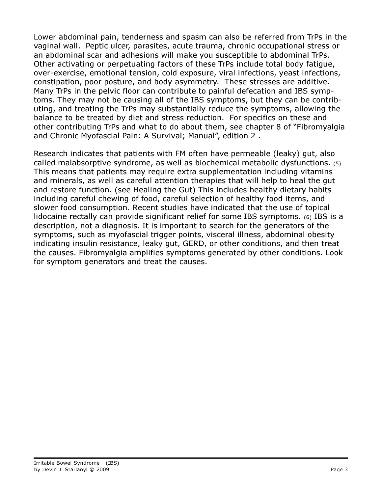Lower abdominal pain, tenderness and spasm can also be referred from TrPs in the vaginal wall. Peptic ulcer, parasites, acute trauma, chronic occupational stress or an abdominal scar and adhesions will make you susceptible to abdominal TrPs. Other activating or perpetuating factors of these TrPs include total body fatigue, over-exercise, emotional tension, cold exposure, viral infections, yeast infections, constipation, poor posture, and body asymmetry. These stresses are additive. Many TrPs in the pelvic floor can contribute to painful defecation and IBS symptoms. They may not be causing all of the IBS symptoms, but they can be contributing, and treating the TrPs may substantially reduce the symptoms, allowing the balance to be treated by diet and stress reduction. For specifics on these and other contributing TrPs and what to do about them, see chapter 8 of "Fibromyalgia and Chronic Myofascial Pain: A Survival; Manual", edition 2 .

Research indicates that patients with FM often have permeable (leaky) gut, also called malabsorptive syndrome, as well as biochemical metabolic dysfunctions. (5) This means that patients may require extra supplementation including vitamins and minerals, as well as careful attention therapies that will help to heal the gut and restore function. (see Healing the Gut) This includes healthy dietary habits including careful chewing of food, careful selection of healthy food items, and slower food consumption. Recent studies have indicated that the use of topical lidocaine rectally can provide significant relief for some IBS symptoms. (6) IBS is a description, not a diagnosis. It is important to search for the generators of the symptoms, such as myofascial trigger points, visceral illness, abdominal obesity indicating insulin resistance, leaky gut, GERD, or other conditions, and then treat the causes. Fibromyalgia amplifies symptoms generated by other conditions. Look for symptom generators and treat the causes.